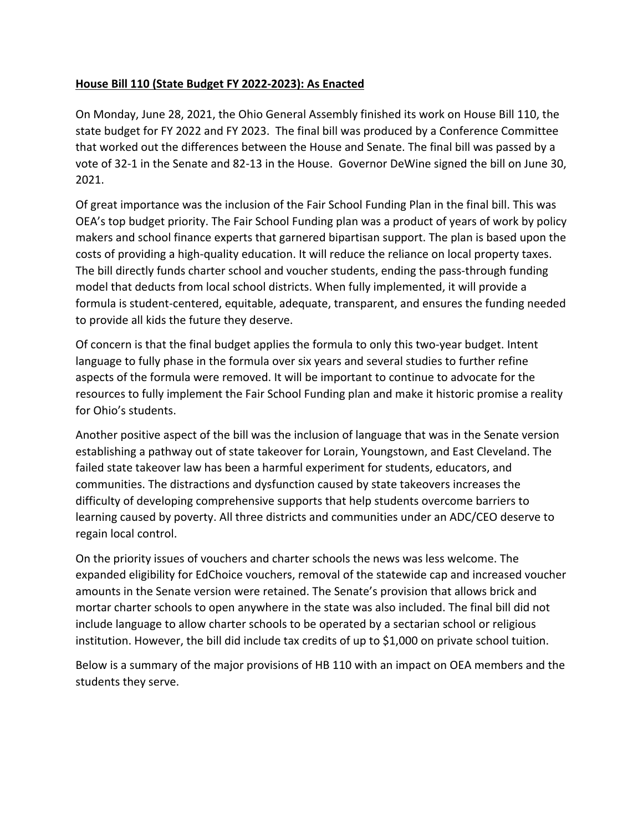## **House Bill 110 (State Budget FY 2022-2023): As Enacted**

On Monday, June 28, 2021, the Ohio General Assembly finished its work on House Bill 110, the state budget for FY 2022 and FY 2023. The final bill was produced by a Conference Committee that worked out the differences between the House and Senate. The final bill was passed by a vote of 32-1 in the Senate and 82-13 in the House. Governor DeWine signed the bill on June 30, 2021.

Of great importance was the inclusion of the Fair School Funding Plan in the final bill. This was OEA's top budget priority. The Fair School Funding plan was a product of years of work by policy makers and school finance experts that garnered bipartisan support. The plan is based upon the costs of providing a high-quality education. It will reduce the reliance on local property taxes. The bill directly funds charter school and voucher students, ending the pass-through funding model that deducts from local school districts. When fully implemented, it will provide a formula is student-centered, equitable, adequate, transparent, and ensures the funding needed to provide all kids the future they deserve.

Of concern is that the final budget applies the formula to only this two-year budget. Intent language to fully phase in the formula over six years and several studies to further refine aspects of the formula were removed. It will be important to continue to advocate for the resources to fully implement the Fair School Funding plan and make it historic promise a reality for Ohio's students.

Another positive aspect of the bill was the inclusion of language that was in the Senate version establishing a pathway out of state takeover for Lorain, Youngstown, and East Cleveland. The failed state takeover law has been a harmful experiment for students, educators, and communities. The distractions and dysfunction caused by state takeovers increases the difficulty of developing comprehensive supports that help students overcome barriers to learning caused by poverty. All three districts and communities under an ADC/CEO deserve to regain local control.

On the priority issues of vouchers and charter schools the news was less welcome. The expanded eligibility for EdChoice vouchers, removal of the statewide cap and increased voucher amounts in the Senate version were retained. The Senate's provision that allows brick and mortar charter schools to open anywhere in the state was also included. The final bill did not include language to allow charter schools to be operated by a sectarian school or religious institution. However, the bill did include tax credits of up to \$1,000 on private school tuition.

Below is a summary of the major provisions of HB 110 with an impact on OEA members and the students they serve.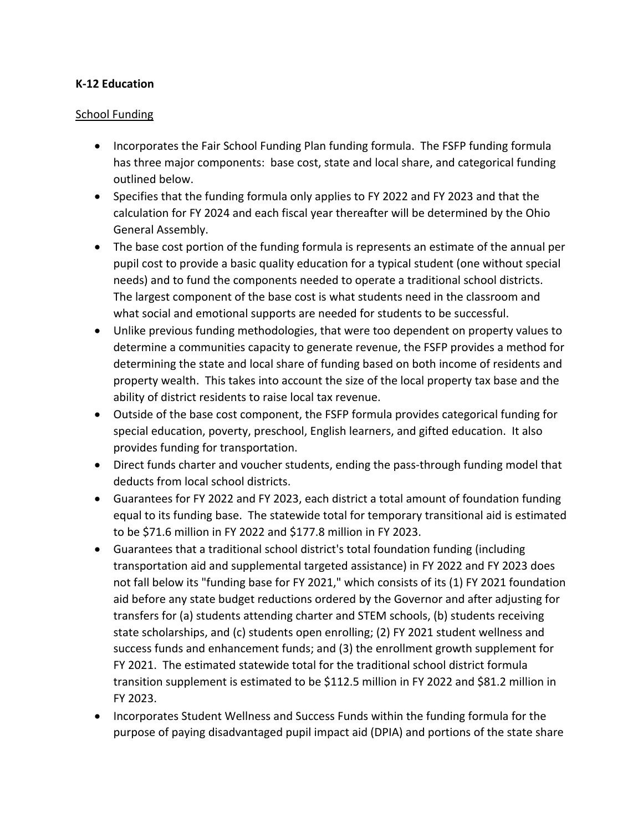### **K-12 Education**

### School Funding

- Incorporates the Fair School Funding Plan funding formula. The FSFP funding formula has three major components: base cost, state and local share, and categorical funding outlined below.
- Specifies that the funding formula only applies to FY 2022 and FY 2023 and that the calculation for FY 2024 and each fiscal year thereafter will be determined by the Ohio General Assembly.
- The base cost portion of the funding formula is represents an estimate of the annual per pupil cost to provide a basic quality education for a typical student (one without special needs) and to fund the components needed to operate a traditional school districts. The largest component of the base cost is what students need in the classroom and what social and emotional supports are needed for students to be successful.
- Unlike previous funding methodologies, that were too dependent on property values to determine a communities capacity to generate revenue, the FSFP provides a method for determining the state and local share of funding based on both income of residents and property wealth. This takes into account the size of the local property tax base and the ability of district residents to raise local tax revenue.
- Outside of the base cost component, the FSFP formula provides categorical funding for special education, poverty, preschool, English learners, and gifted education. It also provides funding for transportation.
- Direct funds charter and voucher students, ending the pass-through funding model that deducts from local school districts.
- Guarantees for FY 2022 and FY 2023, each district a total amount of foundation funding equal to its funding base. The statewide total for temporary transitional aid is estimated to be \$71.6 million in FY 2022 and \$177.8 million in FY 2023.
- Guarantees that a traditional school district's total foundation funding (including transportation aid and supplemental targeted assistance) in FY 2022 and FY 2023 does not fall below its "funding base for FY 2021," which consists of its (1) FY 2021 foundation aid before any state budget reductions ordered by the Governor and after adjusting for transfers for (a) students attending charter and STEM schools, (b) students receiving state scholarships, and (c) students open enrolling; (2) FY 2021 student wellness and success funds and enhancement funds; and (3) the enrollment growth supplement for FY 2021. The estimated statewide total for the traditional school district formula transition supplement is estimated to be \$112.5 million in FY 2022 and \$81.2 million in FY 2023.
- Incorporates Student Wellness and Success Funds within the funding formula for the purpose of paying disadvantaged pupil impact aid (DPIA) and portions of the state share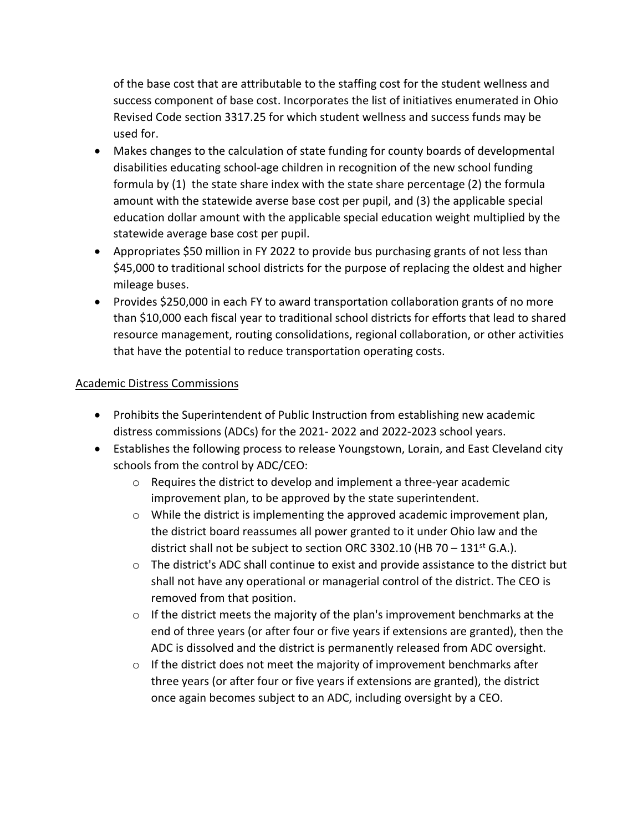of the base cost that are attributable to the staffing cost for the student wellness and success component of base cost. Incorporates the list of initiatives enumerated in Ohio Revised Code section 3317.25 for which student wellness and success funds may be used for.

- Makes changes to the calculation of state funding for county boards of developmental disabilities educating school-age children in recognition of the new school funding formula by (1) the state share index with the state share percentage (2) the formula amount with the statewide averse base cost per pupil, and (3) the applicable special education dollar amount with the applicable special education weight multiplied by the statewide average base cost per pupil.
- Appropriates \$50 million in FY 2022 to provide bus purchasing grants of not less than \$45,000 to traditional school districts for the purpose of replacing the oldest and higher mileage buses.
- Provides \$250,000 in each FY to award transportation collaboration grants of no more than \$10,000 each fiscal year to traditional school districts for efforts that lead to shared resource management, routing consolidations, regional collaboration, or other activities that have the potential to reduce transportation operating costs.

# Academic Distress Commissions

- Prohibits the Superintendent of Public Instruction from establishing new academic distress commissions (ADCs) for the 2021- 2022 and 2022-2023 school years.
- Establishes the following process to release Youngstown, Lorain, and East Cleveland city schools from the control by ADC/CEO:
	- $\circ$  Requires the district to develop and implement a three-year academic improvement plan, to be approved by the state superintendent.
	- $\circ$  While the district is implementing the approved academic improvement plan, the district board reassumes all power granted to it under Ohio law and the district shall not be subject to section ORC 3302.10 (HB 70 –  $131<sup>st</sup>$  G.A.).
	- $\circ$  The district's ADC shall continue to exist and provide assistance to the district but shall not have any operational or managerial control of the district. The CEO is removed from that position.
	- $\circ$  If the district meets the majority of the plan's improvement benchmarks at the end of three years (or after four or five years if extensions are granted), then the ADC is dissolved and the district is permanently released from ADC oversight.
	- $\circ$  If the district does not meet the majority of improvement benchmarks after three years (or after four or five years if extensions are granted), the district once again becomes subject to an ADC, including oversight by a CEO.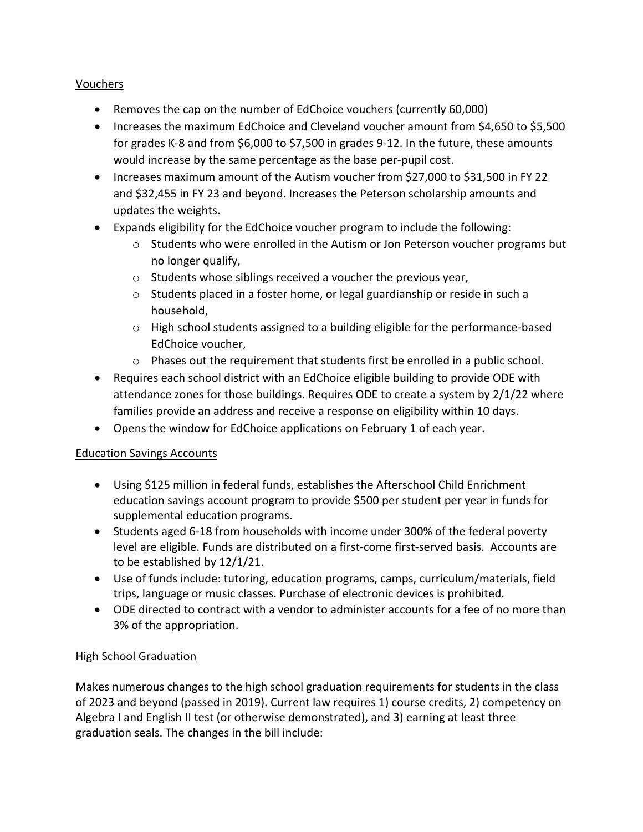# Vouchers

- Removes the cap on the number of EdChoice vouchers (currently 60,000)
- Increases the maximum EdChoice and Cleveland voucher amount from \$4,650 to \$5,500 for grades K-8 and from \$6,000 to \$7,500 in grades 9-12. In the future, these amounts would increase by the same percentage as the base per-pupil cost.
- Increases maximum amount of the Autism voucher from \$27,000 to \$31,500 in FY 22 and \$32,455 in FY 23 and beyond. Increases the Peterson scholarship amounts and updates the weights.
- Expands eligibility for the EdChoice voucher program to include the following:
	- $\circ$  Students who were enrolled in the Autism or Jon Peterson voucher programs but no longer qualify,
	- o Students whose siblings received a voucher the previous year,
	- o Students placed in a foster home, or legal guardianship or reside in such a household,
	- $\circ$  High school students assigned to a building eligible for the performance-based EdChoice voucher,
	- $\circ$  Phases out the requirement that students first be enrolled in a public school.
- Requires each school district with an EdChoice eligible building to provide ODE with attendance zones for those buildings. Requires ODE to create a system by 2/1/22 where families provide an address and receive a response on eligibility within 10 days.
- Opens the window for EdChoice applications on February 1 of each year.

# Education Savings Accounts

- Using \$125 million in federal funds, establishes the Afterschool Child Enrichment education savings account program to provide \$500 per student per year in funds for supplemental education programs.
- Students aged 6-18 from households with income under 300% of the federal poverty level are eligible. Funds are distributed on a first-come first-served basis. Accounts are to be established by 12/1/21.
- Use of funds include: tutoring, education programs, camps, curriculum/materials, field trips, language or music classes. Purchase of electronic devices is prohibited.
- ODE directed to contract with a vendor to administer accounts for a fee of no more than 3% of the appropriation.

# High School Graduation

Makes numerous changes to the high school graduation requirements for students in the class of 2023 and beyond (passed in 2019). Current law requires 1) course credits, 2) competency on Algebra I and English II test (or otherwise demonstrated), and 3) earning at least three graduation seals. The changes in the bill include: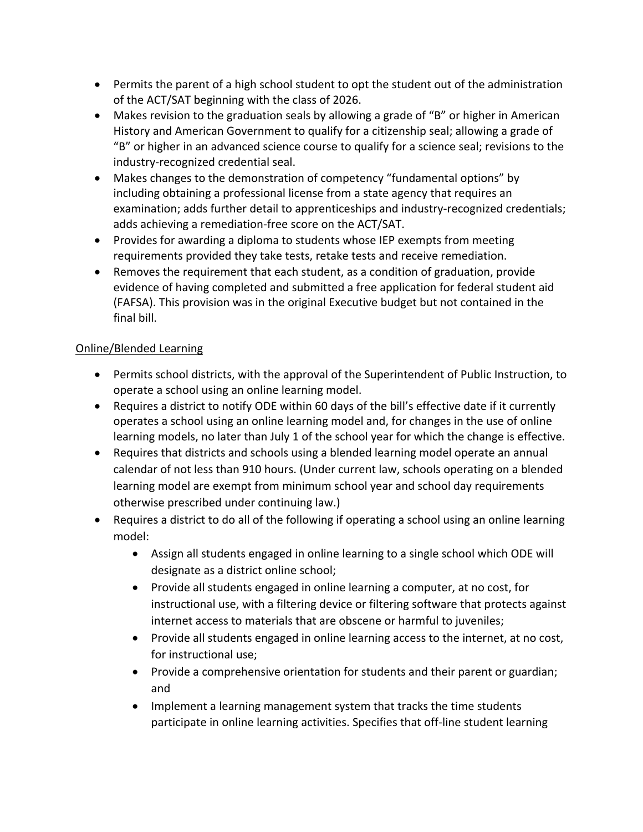- Permits the parent of a high school student to opt the student out of the administration of the ACT/SAT beginning with the class of 2026.
- Makes revision to the graduation seals by allowing a grade of "B" or higher in American History and American Government to qualify for a citizenship seal; allowing a grade of "B" or higher in an advanced science course to qualify for a science seal; revisions to the industry-recognized credential seal.
- Makes changes to the demonstration of competency "fundamental options" by including obtaining a professional license from a state agency that requires an examination; adds further detail to apprenticeships and industry-recognized credentials; adds achieving a remediation-free score on the ACT/SAT.
- Provides for awarding a diploma to students whose IEP exempts from meeting requirements provided they take tests, retake tests and receive remediation.
- Removes the requirement that each student, as a condition of graduation, provide evidence of having completed and submitted a free application for federal student aid (FAFSA). This provision was in the original Executive budget but not contained in the final bill.

# Online/Blended Learning

- Permits school districts, with the approval of the Superintendent of Public Instruction, to operate a school using an online learning model.
- Requires a district to notify ODE within 60 days of the bill's effective date if it currently operates a school using an online learning model and, for changes in the use of online learning models, no later than July 1 of the school year for which the change is effective.
- Requires that districts and schools using a blended learning model operate an annual calendar of not less than 910 hours. (Under current law, schools operating on a blended learning model are exempt from minimum school year and school day requirements otherwise prescribed under continuing law.)
- Requires a district to do all of the following if operating a school using an online learning model:
	- Assign all students engaged in online learning to a single school which ODE will designate as a district online school;
	- Provide all students engaged in online learning a computer, at no cost, for instructional use, with a filtering device or filtering software that protects against internet access to materials that are obscene or harmful to juveniles;
	- Provide all students engaged in online learning access to the internet, at no cost, for instructional use;
	- Provide a comprehensive orientation for students and their parent or guardian; and
	- Implement a learning management system that tracks the time students participate in online learning activities. Specifies that off-line student learning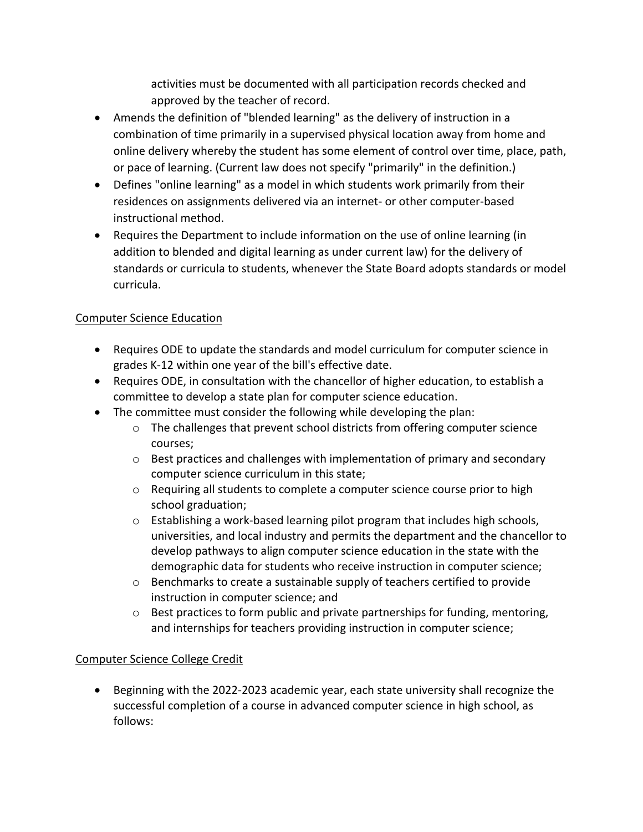activities must be documented with all participation records checked and approved by the teacher of record.

- Amends the definition of "blended learning" as the delivery of instruction in a combination of time primarily in a supervised physical location away from home and online delivery whereby the student has some element of control over time, place, path, or pace of learning. (Current law does not specify "primarily" in the definition.)
- Defines "online learning" as a model in which students work primarily from their residences on assignments delivered via an internet- or other computer-based instructional method.
- Requires the Department to include information on the use of online learning (in addition to blended and digital learning as under current law) for the delivery of standards or curricula to students, whenever the State Board adopts standards or model curricula.

# Computer Science Education

- Requires ODE to update the standards and model curriculum for computer science in grades K-12 within one year of the bill's effective date.
- Requires ODE, in consultation with the chancellor of higher education, to establish a committee to develop a state plan for computer science education.
- The committee must consider the following while developing the plan:
	- o The challenges that prevent school districts from offering computer science courses;
	- o Best practices and challenges with implementation of primary and secondary computer science curriculum in this state;
	- $\circ$  Requiring all students to complete a computer science course prior to high school graduation;
	- $\circ$  Establishing a work-based learning pilot program that includes high schools, universities, and local industry and permits the department and the chancellor to develop pathways to align computer science education in the state with the demographic data for students who receive instruction in computer science;
	- o Benchmarks to create a sustainable supply of teachers certified to provide instruction in computer science; and
	- $\circ$  Best practices to form public and private partnerships for funding, mentoring, and internships for teachers providing instruction in computer science;

# Computer Science College Credit

• Beginning with the 2022-2023 academic year, each state university shall recognize the successful completion of a course in advanced computer science in high school, as follows: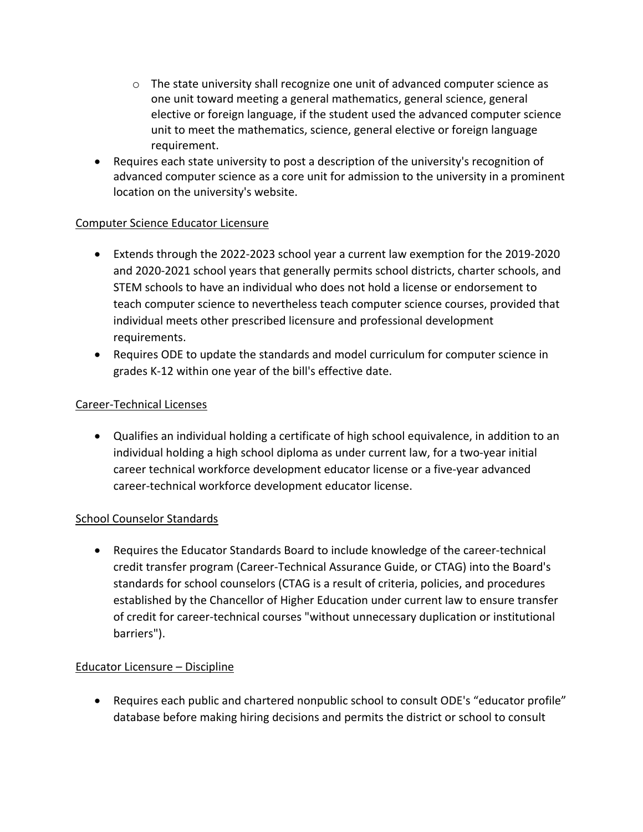- $\circ$  The state university shall recognize one unit of advanced computer science as one unit toward meeting a general mathematics, general science, general elective or foreign language, if the student used the advanced computer science unit to meet the mathematics, science, general elective or foreign language requirement.
- Requires each state university to post a description of the university's recognition of advanced computer science as a core unit for admission to the university in a prominent location on the university's website.

# Computer Science Educator Licensure

- Extends through the 2022-2023 school year a current law exemption for the 2019-2020 and 2020-2021 school years that generally permits school districts, charter schools, and STEM schools to have an individual who does not hold a license or endorsement to teach computer science to nevertheless teach computer science courses, provided that individual meets other prescribed licensure and professional development requirements.
- Requires ODE to update the standards and model curriculum for computer science in grades K-12 within one year of the bill's effective date.

# Career-Technical Licenses

• Qualifies an individual holding a certificate of high school equivalence, in addition to an individual holding a high school diploma as under current law, for a two-year initial career technical workforce development educator license or a five-year advanced career-technical workforce development educator license.

# School Counselor Standards

• Requires the Educator Standards Board to include knowledge of the career-technical credit transfer program (Career-Technical Assurance Guide, or CTAG) into the Board's standards for school counselors (CTAG is a result of criteria, policies, and procedures established by the Chancellor of Higher Education under current law to ensure transfer of credit for career-technical courses "without unnecessary duplication or institutional barriers").

# Educator Licensure – Discipline

• Requires each public and chartered nonpublic school to consult ODE's "educator profile" database before making hiring decisions and permits the district or school to consult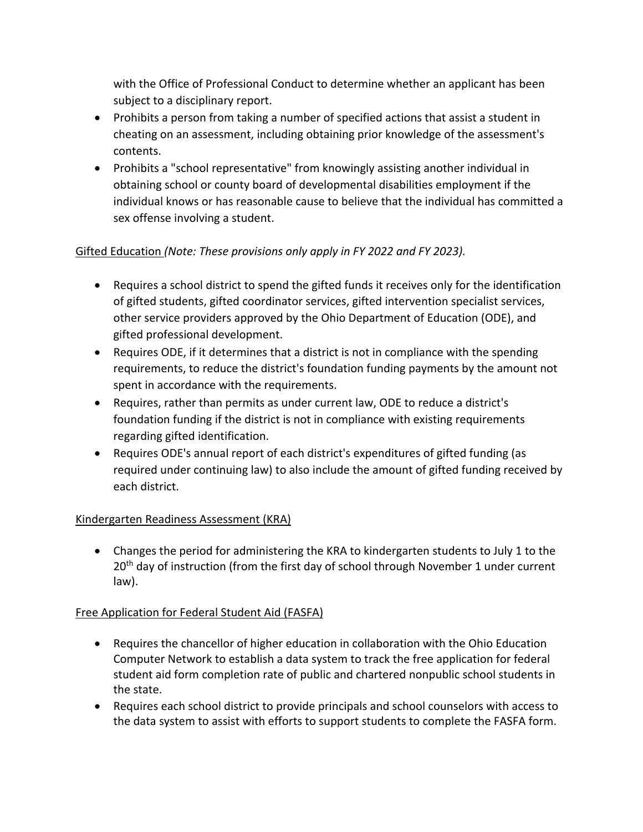with the Office of Professional Conduct to determine whether an applicant has been subject to a disciplinary report.

- Prohibits a person from taking a number of specified actions that assist a student in cheating on an assessment, including obtaining prior knowledge of the assessment's contents.
- Prohibits a "school representative" from knowingly assisting another individual in obtaining school or county board of developmental disabilities employment if the individual knows or has reasonable cause to believe that the individual has committed a sex offense involving a student.

# Gifted Education *(Note: These provisions only apply in FY 2022 and FY 2023).*

- Requires a school district to spend the gifted funds it receives only for the identification of gifted students, gifted coordinator services, gifted intervention specialist services, other service providers approved by the Ohio Department of Education (ODE), and gifted professional development.
- Requires ODE, if it determines that a district is not in compliance with the spending requirements, to reduce the district's foundation funding payments by the amount not spent in accordance with the requirements.
- Requires, rather than permits as under current law, ODE to reduce a district's foundation funding if the district is not in compliance with existing requirements regarding gifted identification.
- Requires ODE's annual report of each district's expenditures of gifted funding (as required under continuing law) to also include the amount of gifted funding received by each district.

# Kindergarten Readiness Assessment (KRA)

• Changes the period for administering the KRA to kindergarten students to July 1 to the  $20<sup>th</sup>$  day of instruction (from the first day of school through November 1 under current law).

# Free Application for Federal Student Aid (FASFA)

- Requires the chancellor of higher education in collaboration with the Ohio Education Computer Network to establish a data system to track the free application for federal student aid form completion rate of public and chartered nonpublic school students in the state.
- Requires each school district to provide principals and school counselors with access to the data system to assist with efforts to support students to complete the FASFA form.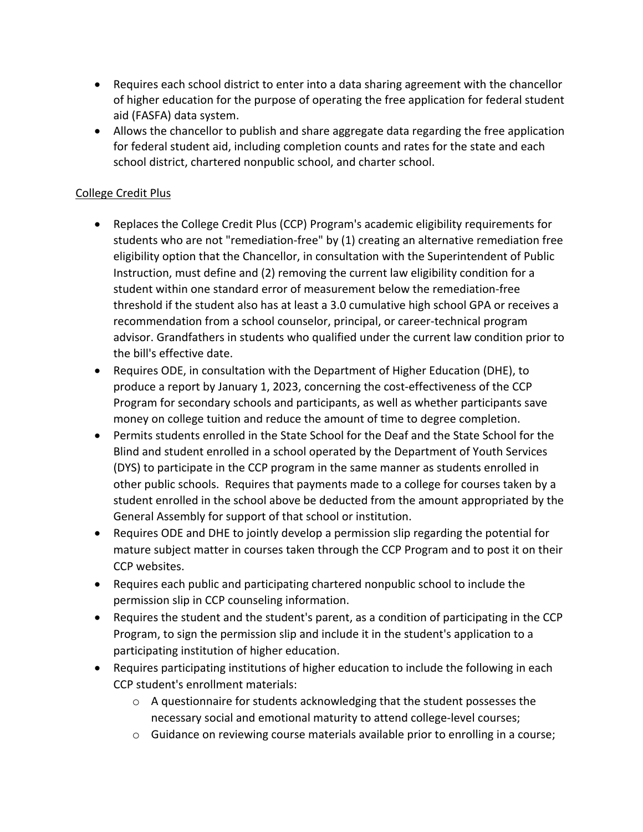- Requires each school district to enter into a data sharing agreement with the chancellor of higher education for the purpose of operating the free application for federal student aid (FASFA) data system.
- Allows the chancellor to publish and share aggregate data regarding the free application for federal student aid, including completion counts and rates for the state and each school district, chartered nonpublic school, and charter school.

# College Credit Plus

- Replaces the College Credit Plus (CCP) Program's academic eligibility requirements for students who are not "remediation-free" by (1) creating an alternative remediation free eligibility option that the Chancellor, in consultation with the Superintendent of Public Instruction, must define and (2) removing the current law eligibility condition for a student within one standard error of measurement below the remediation-free threshold if the student also has at least a 3.0 cumulative high school GPA or receives a recommendation from a school counselor, principal, or career-technical program advisor. Grandfathers in students who qualified under the current law condition prior to the bill's effective date.
- Requires ODE, in consultation with the Department of Higher Education (DHE), to produce a report by January 1, 2023, concerning the cost-effectiveness of the CCP Program for secondary schools and participants, as well as whether participants save money on college tuition and reduce the amount of time to degree completion.
- Permits students enrolled in the State School for the Deaf and the State School for the Blind and student enrolled in a school operated by the Department of Youth Services (DYS) to participate in the CCP program in the same manner as students enrolled in other public schools. Requires that payments made to a college for courses taken by a student enrolled in the school above be deducted from the amount appropriated by the General Assembly for support of that school or institution.
- Requires ODE and DHE to jointly develop a permission slip regarding the potential for mature subject matter in courses taken through the CCP Program and to post it on their CCP websites.
- Requires each public and participating chartered nonpublic school to include the permission slip in CCP counseling information.
- Requires the student and the student's parent, as a condition of participating in the CCP Program, to sign the permission slip and include it in the student's application to a participating institution of higher education.
- Requires participating institutions of higher education to include the following in each CCP student's enrollment materials:
	- $\circ$  A questionnaire for students acknowledging that the student possesses the necessary social and emotional maturity to attend college-level courses;
	- $\circ$  Guidance on reviewing course materials available prior to enrolling in a course;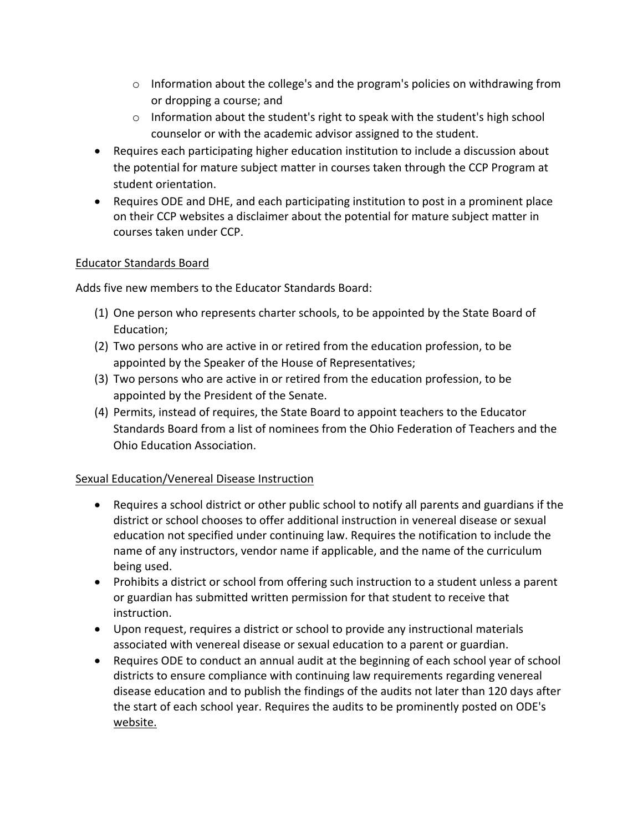- $\circ$  Information about the college's and the program's policies on withdrawing from or dropping a course; and
- o Information about the student's right to speak with the student's high school counselor or with the academic advisor assigned to the student.
- Requires each participating higher education institution to include a discussion about the potential for mature subject matter in courses taken through the CCP Program at student orientation.
- Requires ODE and DHE, and each participating institution to post in a prominent place on their CCP websites a disclaimer about the potential for mature subject matter in courses taken under CCP.

# Educator Standards Board

Adds five new members to the Educator Standards Board:

- (1) One person who represents charter schools, to be appointed by the State Board of Education;
- (2) Two persons who are active in or retired from the education profession, to be appointed by the Speaker of the House of Representatives;
- (3) Two persons who are active in or retired from the education profession, to be appointed by the President of the Senate.
- (4) Permits, instead of requires, the State Board to appoint teachers to the Educator Standards Board from a list of nominees from the Ohio Federation of Teachers and the Ohio Education Association.

# Sexual Education/Venereal Disease Instruction

- Requires a school district or other public school to notify all parents and guardians if the district or school chooses to offer additional instruction in venereal disease or sexual education not specified under continuing law. Requires the notification to include the name of any instructors, vendor name if applicable, and the name of the curriculum being used.
- Prohibits a district or school from offering such instruction to a student unless a parent or guardian has submitted written permission for that student to receive that instruction.
- Upon request, requires a district or school to provide any instructional materials associated with venereal disease or sexual education to a parent or guardian.
- Requires ODE to conduct an annual audit at the beginning of each school year of school districts to ensure compliance with continuing law requirements regarding venereal disease education and to publish the findings of the audits not later than 120 days after the start of each school year. Requires the audits to be prominently posted on ODE's website.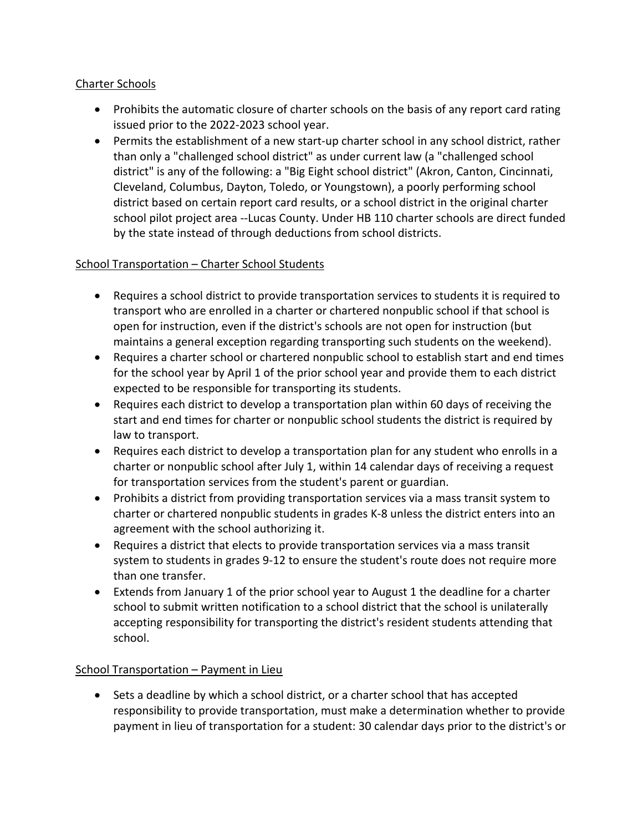# Charter Schools

- Prohibits the automatic closure of charter schools on the basis of any report card rating issued prior to the 2022-2023 school year.
- Permits the establishment of a new start-up charter school in any school district, rather than only a "challenged school district" as under current law (a "challenged school district" is any of the following: a "Big Eight school district" (Akron, Canton, Cincinnati, Cleveland, Columbus, Dayton, Toledo, or Youngstown), a poorly performing school district based on certain report card results, or a school district in the original charter school pilot project area --Lucas County. Under HB 110 charter schools are direct funded by the state instead of through deductions from school districts.

# School Transportation – Charter School Students

- Requires a school district to provide transportation services to students it is required to transport who are enrolled in a charter or chartered nonpublic school if that school is open for instruction, even if the district's schools are not open for instruction (but maintains a general exception regarding transporting such students on the weekend).
- Requires a charter school or chartered nonpublic school to establish start and end times for the school year by April 1 of the prior school year and provide them to each district expected to be responsible for transporting its students.
- Requires each district to develop a transportation plan within 60 days of receiving the start and end times for charter or nonpublic school students the district is required by law to transport.
- Requires each district to develop a transportation plan for any student who enrolls in a charter or nonpublic school after July 1, within 14 calendar days of receiving a request for transportation services from the student's parent or guardian.
- Prohibits a district from providing transportation services via a mass transit system to charter or chartered nonpublic students in grades K-8 unless the district enters into an agreement with the school authorizing it.
- Requires a district that elects to provide transportation services via a mass transit system to students in grades 9-12 to ensure the student's route does not require more than one transfer.
- Extends from January 1 of the prior school year to August 1 the deadline for a charter school to submit written notification to a school district that the school is unilaterally accepting responsibility for transporting the district's resident students attending that school.

# School Transportation – Payment in Lieu

• Sets a deadline by which a school district, or a charter school that has accepted responsibility to provide transportation, must make a determination whether to provide payment in lieu of transportation for a student: 30 calendar days prior to the district's or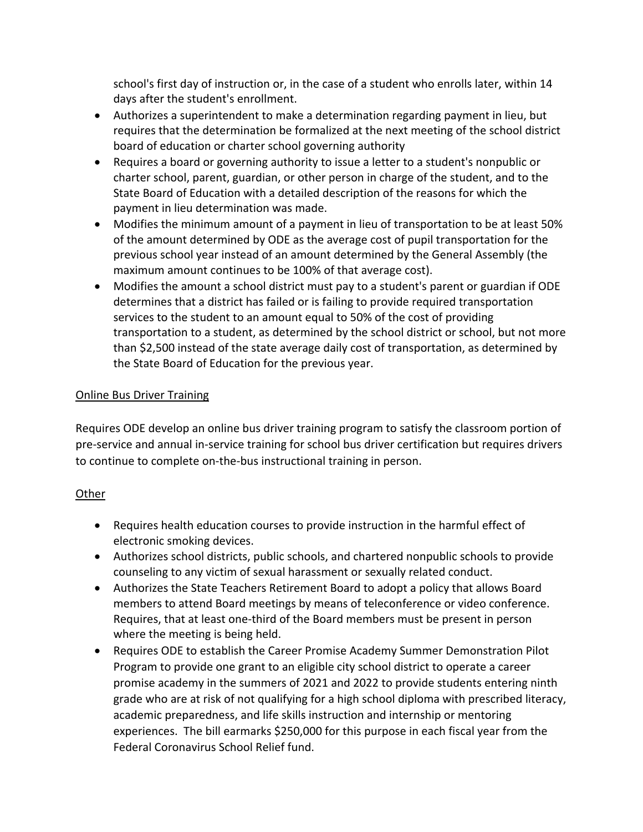school's first day of instruction or, in the case of a student who enrolls later, within 14 days after the student's enrollment.

- Authorizes a superintendent to make a determination regarding payment in lieu, but requires that the determination be formalized at the next meeting of the school district board of education or charter school governing authority
- Requires a board or governing authority to issue a letter to a student's nonpublic or charter school, parent, guardian, or other person in charge of the student, and to the State Board of Education with a detailed description of the reasons for which the payment in lieu determination was made.
- Modifies the minimum amount of a payment in lieu of transportation to be at least 50% of the amount determined by ODE as the average cost of pupil transportation for the previous school year instead of an amount determined by the General Assembly (the maximum amount continues to be 100% of that average cost).
- Modifies the amount a school district must pay to a student's parent or guardian if ODE determines that a district has failed or is failing to provide required transportation services to the student to an amount equal to 50% of the cost of providing transportation to a student, as determined by the school district or school, but not more than \$2,500 instead of the state average daily cost of transportation, as determined by the State Board of Education for the previous year.

# Online Bus Driver Training

Requires ODE develop an online bus driver training program to satisfy the classroom portion of pre-service and annual in-service training for school bus driver certification but requires drivers to continue to complete on-the-bus instructional training in person.

# Other

- Requires health education courses to provide instruction in the harmful effect of electronic smoking devices.
- Authorizes school districts, public schools, and chartered nonpublic schools to provide counseling to any victim of sexual harassment or sexually related conduct.
- Authorizes the State Teachers Retirement Board to adopt a policy that allows Board members to attend Board meetings by means of teleconference or video conference. Requires, that at least one-third of the Board members must be present in person where the meeting is being held.
- Requires ODE to establish the Career Promise Academy Summer Demonstration Pilot Program to provide one grant to an eligible city school district to operate a career promise academy in the summers of 2021 and 2022 to provide students entering ninth grade who are at risk of not qualifying for a high school diploma with prescribed literacy, academic preparedness, and life skills instruction and internship or mentoring experiences. The bill earmarks \$250,000 for this purpose in each fiscal year from the Federal Coronavirus School Relief fund.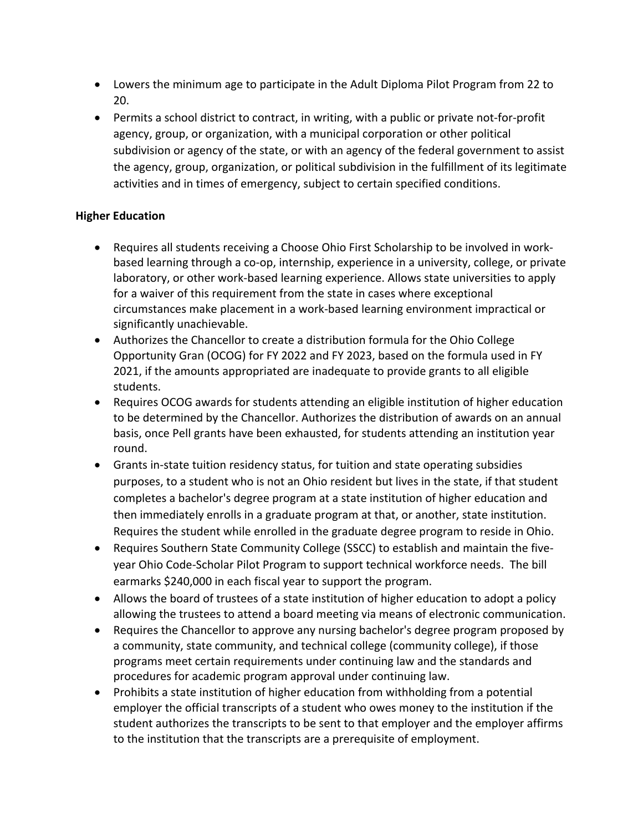- Lowers the minimum age to participate in the Adult Diploma Pilot Program from 22 to 20.
- Permits a school district to contract, in writing, with a public or private not-for-profit agency, group, or organization, with a municipal corporation or other political subdivision or agency of the state, or with an agency of the federal government to assist the agency, group, organization, or political subdivision in the fulfillment of its legitimate activities and in times of emergency, subject to certain specified conditions.

# **Higher Education**

- Requires all students receiving a Choose Ohio First Scholarship to be involved in workbased learning through a co-op, internship, experience in a university, college, or private laboratory, or other work-based learning experience. Allows state universities to apply for a waiver of this requirement from the state in cases where exceptional circumstances make placement in a work-based learning environment impractical or significantly unachievable.
- Authorizes the Chancellor to create a distribution formula for the Ohio College Opportunity Gran (OCOG) for FY 2022 and FY 2023, based on the formula used in FY 2021, if the amounts appropriated are inadequate to provide grants to all eligible students.
- Requires OCOG awards for students attending an eligible institution of higher education to be determined by the Chancellor. Authorizes the distribution of awards on an annual basis, once Pell grants have been exhausted, for students attending an institution year round.
- Grants in-state tuition residency status, for tuition and state operating subsidies purposes, to a student who is not an Ohio resident but lives in the state, if that student completes a bachelor's degree program at a state institution of higher education and then immediately enrolls in a graduate program at that, or another, state institution. Requires the student while enrolled in the graduate degree program to reside in Ohio.
- Requires Southern State Community College (SSCC) to establish and maintain the fiveyear Ohio Code-Scholar Pilot Program to support technical workforce needs. The bill earmarks \$240,000 in each fiscal year to support the program.
- Allows the board of trustees of a state institution of higher education to adopt a policy allowing the trustees to attend a board meeting via means of electronic communication.
- Requires the Chancellor to approve any nursing bachelor's degree program proposed by a community, state community, and technical college (community college), if those programs meet certain requirements under continuing law and the standards and procedures for academic program approval under continuing law.
- Prohibits a state institution of higher education from withholding from a potential employer the official transcripts of a student who owes money to the institution if the student authorizes the transcripts to be sent to that employer and the employer affirms to the institution that the transcripts are a prerequisite of employment.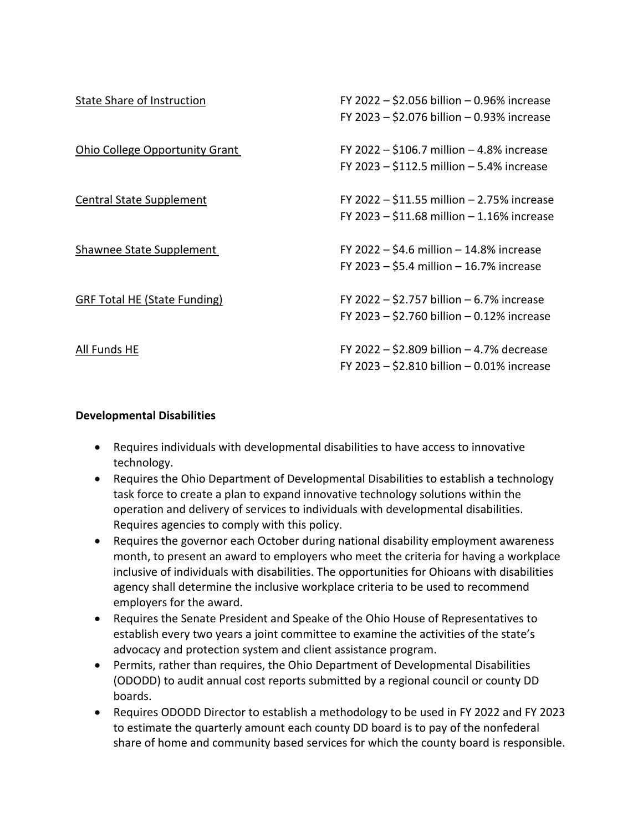| State Share of Instruction          | FY 2022 - \$2.056 billion - 0.96% increase<br>FY 2023 - \$2.076 billion - 0.93% increase       |
|-------------------------------------|------------------------------------------------------------------------------------------------|
| Ohio College Opportunity Grant      | FY 2022 $-$ \$106.7 million $-$ 4.8% increase<br>FY 2023 $-$ \$112.5 million $-$ 5.4% increase |
| Central State Supplement            | FY 2022 - \$11.55 million - 2.75% increase<br>FY 2023 - \$11.68 million - 1.16% increase       |
| Shawnee State Supplement            | FY 2022 $-$ \$4.6 million $-$ 14.8% increase<br>FY 2023 - \$5.4 million - 16.7% increase       |
| <b>GRF Total HE (State Funding)</b> | FY 2022 - \$2.757 billion $-6.7%$ increase<br>FY 2023 - \$2.760 billion - 0.12% increase       |
| All Funds HE                        | FY 2022 - \$2.809 billion - 4.7% decrease<br>FY 2023 - \$2.810 billion - 0.01% increase        |

### **Developmental Disabilities**

- Requires individuals with developmental disabilities to have access to innovative technology.
- Requires the Ohio Department of Developmental Disabilities to establish a technology task force to create a plan to expand innovative technology solutions within the operation and delivery of services to individuals with developmental disabilities. Requires agencies to comply with this policy.
- Requires the governor each October during national disability employment awareness month, to present an award to employers who meet the criteria for having a workplace inclusive of individuals with disabilities. The opportunities for Ohioans with disabilities agency shall determine the inclusive workplace criteria to be used to recommend employers for the award.
- Requires the Senate President and Speake of the Ohio House of Representatives to establish every two years a joint committee to examine the activities of the state's advocacy and protection system and client assistance program.
- Permits, rather than requires, the Ohio Department of Developmental Disabilities (ODODD) to audit annual cost reports submitted by a regional council or county DD boards.
- Requires ODODD Director to establish a methodology to be used in FY 2022 and FY 2023 to estimate the quarterly amount each county DD board is to pay of the nonfederal share of home and community based services for which the county board is responsible.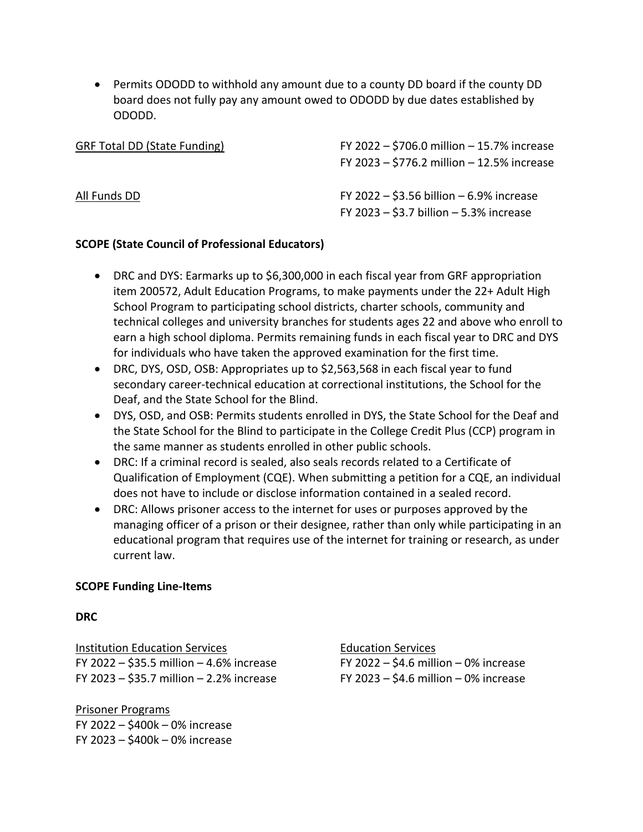• Permits ODODD to withhold any amount due to a county DD board if the county DD board does not fully pay any amount owed to ODODD by due dates established by ODODD.

| <b>GRF Total DD (State Funding)</b> | FY 2022 - \$706.0 million - 15.7% increase<br>FY 2023 - \$776.2 million - 12.5% increase    |
|-------------------------------------|---------------------------------------------------------------------------------------------|
| All Funds DD                        | FY 2022 $-$ \$3.56 billion $-$ 6.9% increase<br>FY 2023 $-$ \$3.7 billion $-$ 5.3% increase |

#### **SCOPE (State Council of Professional Educators)**

- DRC and DYS: Earmarks up to \$6,300,000 in each fiscal year from GRF appropriation item 200572, Adult Education Programs, to make payments under the 22+ Adult High School Program to participating school districts, charter schools, community and technical colleges and university branches for students ages 22 and above who enroll to earn a high school diploma. Permits remaining funds in each fiscal year to DRC and DYS for individuals who have taken the approved examination for the first time.
- DRC, DYS, OSD, OSB: Appropriates up to \$2,563,568 in each fiscal year to fund secondary career-technical education at correctional institutions, the School for the Deaf, and the State School for the Blind.
- DYS, OSD, and OSB: Permits students enrolled in DYS, the State School for the Deaf and the State School for the Blind to participate in the College Credit Plus (CCP) program in the same manner as students enrolled in other public schools.
- DRC: If a criminal record is sealed, also seals records related to a Certificate of Qualification of Employment (CQE). When submitting a petition for a CQE, an individual does not have to include or disclose information contained in a sealed record.
- DRC: Allows prisoner access to the internet for uses or purposes approved by the managing officer of a prison or their designee, rather than only while participating in an educational program that requires use of the internet for training or research, as under current law.

#### **SCOPE Funding Line-Items**

#### **DRC**

Institution Education Services Education Services FY 2022 – \$35.5 million – 4.6% increase FY 2022 – \$4.6 million – 0% increase FY 2023 – \$35.7 million – 2.2% increase FY 2023 – \$4.6 million – 0% increase

Prisoner Programs FY 2022 – \$400k – 0% increase FY 2023 – \$400k – 0% increase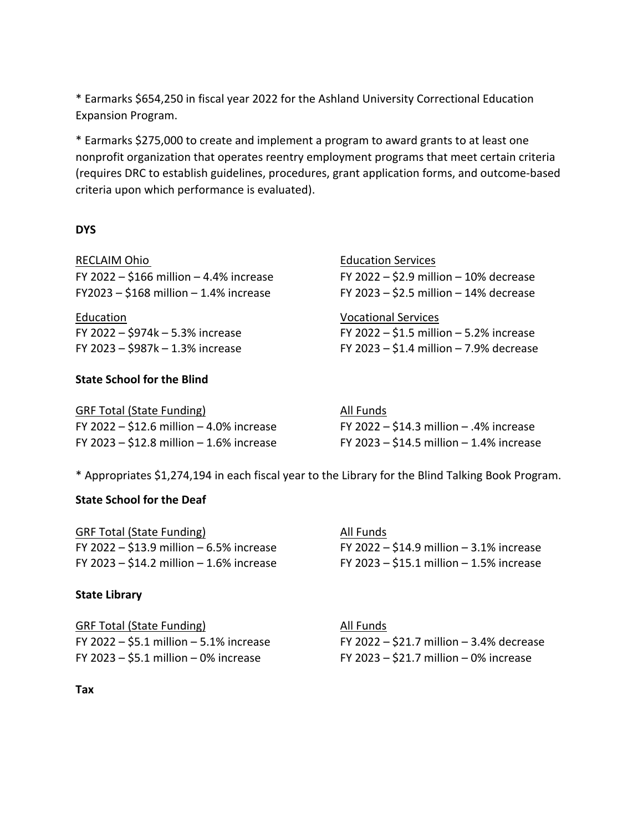\* Earmarks \$654,250 in fiscal year 2022 for the Ashland University Correctional Education Expansion Program.

\* Earmarks \$275,000 to create and implement a program to award grants to at least one nonprofit organization that operates reentry employment programs that meet certain criteria (requires DRC to establish guidelines, procedures, grant application forms, and outcome-based criteria upon which performance is evaluated).

#### **DYS**

RECLAIM Ohio FY 2022 –  $$166$  million – 4.4% increase  $FY2023 - $168$  million – 1.4% increase

Education **Exercise Services Contracts** Vocational Services

#### **State School for the Blind**

| <b>Education Services</b>                  |
|--------------------------------------------|
| FY 2022 – \$2.9 million – 10% decrease     |
| FY 2023 $-$ \$2.5 million $-$ 14% decrease |

FY 2022 –  $$974k - 5.3\%$  increase FY 2022 –  $$1.5$  million – 5.2% increase FY 2023 – \$987k – 1.3% increase FY 2023 – \$1.4 million – 7.9% decrease

| GRF Total (State Funding)                | All Funds                                    |
|------------------------------------------|----------------------------------------------|
| FY 2022 - \$12.6 million - 4.0% increase | FY 2022 $-$ \$14.3 million $-$ .4% increase  |
| FY 2023 - \$12.8 million - 1.6% increase | FY 2023 $-$ \$14.5 million $-$ 1.4% increase |

\* Appropriates \$1,274,194 in each fiscal year to the Library for the Blind Talking Book Program.

#### **State School for the Deaf**

| <b>GRF Total (State Funding)</b>             | All Funds                                    |
|----------------------------------------------|----------------------------------------------|
| FY 2022 $-$ \$13.9 million $-$ 6.5% increase | FY 2022 $-$ \$14.9 million $-$ 3.1% increase |
| FY 2023 $-$ \$14.2 million $-$ 1.6% increase | FY 2023 $-$ \$15.1 million $-$ 1.5% increase |

#### **State Library**

GRF Total (State Funding) All Funds FY 2023 – \$5.1 million – 0% increase FY 2023 – \$21.7 million – 0% increase

FY 2022 – \$5.1 million – 5.1% increase FY 2022 – \$21.7 million – 3.4% decrease

**Tax**